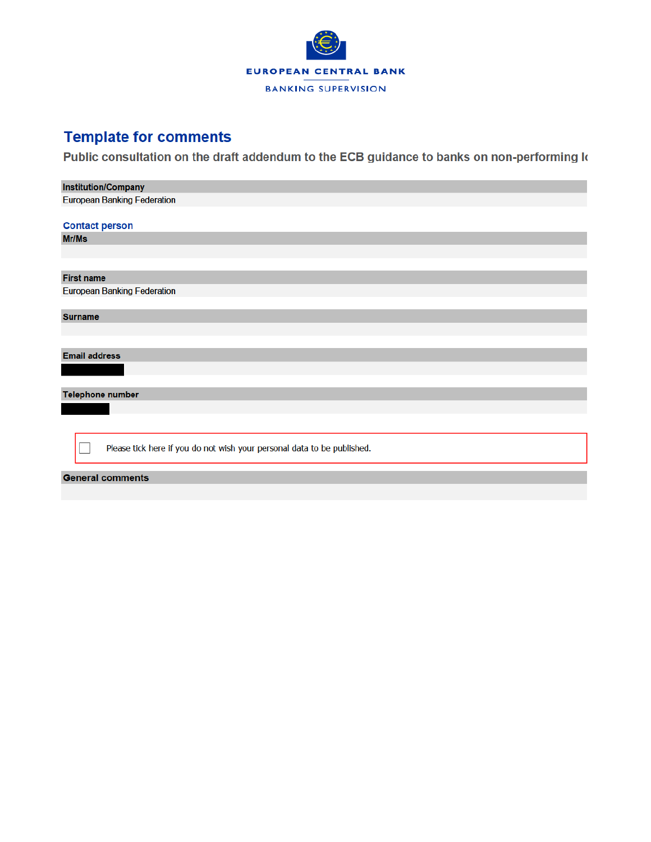

# **Template for comments**

Public consultation on the draft addendum to the ECB guidance to banks on non-performing k

| <b>Institution/Company</b>                                              |
|-------------------------------------------------------------------------|
| <b>European Banking Federation</b>                                      |
|                                                                         |
| <b>Contact person</b>                                                   |
| Mr/Ms                                                                   |
|                                                                         |
|                                                                         |
| <b>First name</b>                                                       |
| <b>European Banking Federation</b>                                      |
|                                                                         |
| <b>Surname</b>                                                          |
|                                                                         |
|                                                                         |
| <b>Email address</b>                                                    |
|                                                                         |
|                                                                         |
| <b>Telephone number</b>                                                 |
|                                                                         |
|                                                                         |
|                                                                         |
| Please tick here if you do not wish your personal data to be published. |
|                                                                         |
| <b>General comments</b>                                                 |
|                                                                         |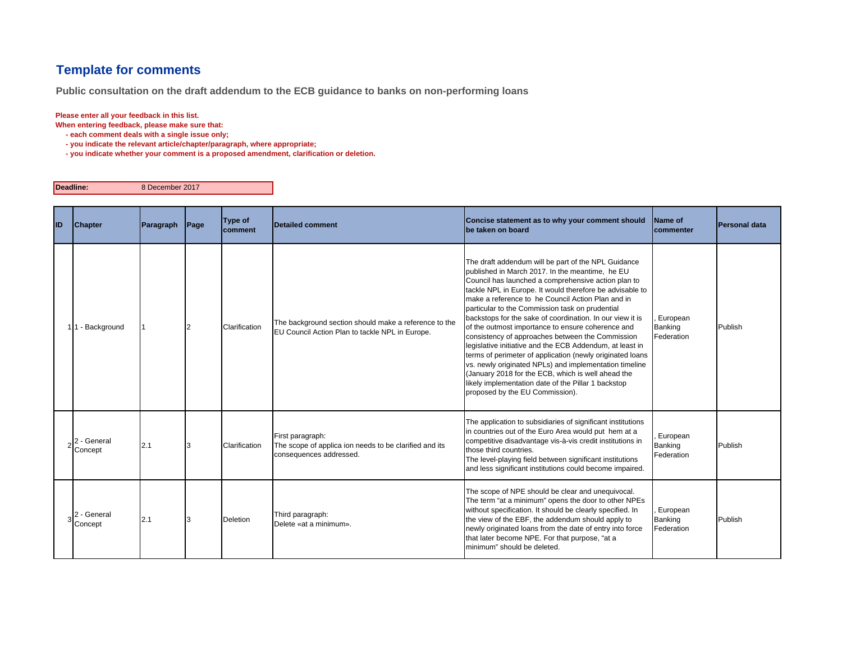# **Template for comments**

**Public consultation on the draft addendum to the ECB guidance to banks on non-performing loans**

#### **Please enter all your feedback in this list.**

**When entering feedback, please make sure that:** 

- **each comment deals with a single issue only;**
- **you indicate the relevant article/chapter/paragraph, where appropriate;**
- **you indicate whether your comment is a proposed amendment, clarification or deletion.**

**Deadline:**8 December 2017

| ID | <b>Chapter</b>         | Paragraph | Page | Type of<br>comment | Detailed comment                                                                                         | Concise statement as to why your comment should<br>be taken on board                                                                                                                                                                                                                                                                                                                                                                                                                                                                                                                                                                                                                                                                                                                                                                       | <b>IName of</b><br>commenter             | Personal data |
|----|------------------------|-----------|------|--------------------|----------------------------------------------------------------------------------------------------------|--------------------------------------------------------------------------------------------------------------------------------------------------------------------------------------------------------------------------------------------------------------------------------------------------------------------------------------------------------------------------------------------------------------------------------------------------------------------------------------------------------------------------------------------------------------------------------------------------------------------------------------------------------------------------------------------------------------------------------------------------------------------------------------------------------------------------------------------|------------------------------------------|---------------|
|    | 11 - Background        |           |      | Clarification      | The background section should make a reference to the<br>EU Council Action Plan to tackle NPL in Europe. | The draft addendum will be part of the NPL Guidance<br>published in March 2017. In the meantime, he EU<br>Council has launched a comprehensive action plan to<br>tackle NPL in Europe. It would therefore be advisable to<br>make a reference to he Council Action Plan and in<br>particular to the Commission task on prudential<br>backstops for the sake of coordination. In our view it is<br>of the outmost importance to ensure coherence and<br>consistency of approaches between the Commission<br>legislative initiative and the ECB Addendum, at least in<br>terms of perimeter of application (newly originated loans<br>vs. newly originated NPLs) and implementation timeline<br>(January 2018 for the ECB, which is well ahead the<br>likely implementation date of the Pillar 1 backstop<br>proposed by the EU Commission). | European<br>Banking<br>Federation        | Publish       |
|    | 2 - General<br>Concept | 2.1       |      | Clarification      | First paragraph:<br>The scope of applica ion needs to be clarified and its<br>consequences addressed.    | The application to subsidiaries of significant institutions<br>in countries out of the Euro Area would put hem at a<br>competitive disadvantage vis-à-vis credit institutions in<br>those third countries.<br>The level-playing field between significant institutions<br>and less significant institutions could become impaired.                                                                                                                                                                                                                                                                                                                                                                                                                                                                                                         | European<br>Banking<br>Federation        | Publish       |
|    | 2 - General<br>Concept | 2.1       |      | <b>Deletion</b>    | Third paragraph:<br>Delete «at a minimum».                                                               | The scope of NPE should be clear and unequivocal.<br>The term "at a minimum" opens the door to other NPEs<br>without specification. It should be clearly specified. In<br>the view of the EBF, the addendum should apply to<br>newly originated loans from the date of entry into force<br>that later become NPE. For that purpose, "at a<br>minimum" should be deleted.                                                                                                                                                                                                                                                                                                                                                                                                                                                                   | European<br><b>Banking</b><br>Federation | Publish       |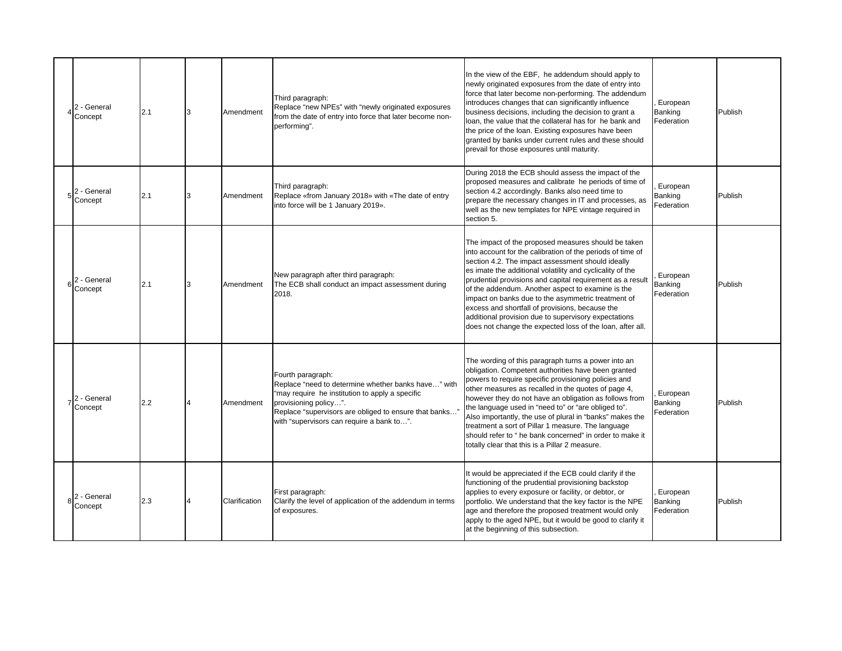| 2 - General<br>Concept | 2.1 | 3 | Amendment     | Third paragraph:<br>Replace "new NPEs" with "newly originated exposures<br>from the date of entry into force that later become non-<br>performing".                                                                                                         | In the view of the EBF, he addendum should apply to<br>newly originated exposures from the date of entry into<br>force that later become non-performing. The addendum<br>introduces changes that can significantly influence<br>business decisions, including the decision to grant a<br>loan, the value that the collateral has for he bank and<br>the price of the loan. Existing exposures have been<br>granted by banks under current rules and these should<br>prevail for those exposures until maturity.                                                                     | European<br>Banking<br>Federation | Publish |
|------------------------|-----|---|---------------|-------------------------------------------------------------------------------------------------------------------------------------------------------------------------------------------------------------------------------------------------------------|-------------------------------------------------------------------------------------------------------------------------------------------------------------------------------------------------------------------------------------------------------------------------------------------------------------------------------------------------------------------------------------------------------------------------------------------------------------------------------------------------------------------------------------------------------------------------------------|-----------------------------------|---------|
| 2 - General<br>Concept | 2.1 | 3 | Amendment     | Third paragraph:<br>Replace «from January 2018» with «The date of entry<br>into force will be 1 January 2019».                                                                                                                                              | During 2018 the ECB should assess the impact of the<br>proposed measures and calibrate he periods of time of<br>section 4.2 accordingly. Banks also need time to<br>prepare the necessary changes in IT and processes, as<br>well as the new templates for NPE vintage required in<br>section 5.                                                                                                                                                                                                                                                                                    | European<br>Banking<br>Federation | Publish |
| 2 - General<br>Concept | 2.1 | 3 | Amendment     | New paragraph after third paragraph:<br>The ECB shall conduct an impact assessment during<br>2018.                                                                                                                                                          | The impact of the proposed measures should be taken<br>into account for the calibration of the periods of time of<br>section 4.2. The impact assessment should ideally<br>es imate the additional volatility and cyclicality of the<br>prudential provisions and capital requirement as a result<br>of the addendum. Another aspect to examine is the<br>impact on banks due to the asymmetric treatment of<br>excess and shortfall of provisions, because the<br>additional provision due to supervisory expectations<br>does not change the expected loss of the loan, after all. | European<br>Banking<br>Federation | Publish |
| 2 - General<br>Concept | 2.2 | Δ | Amendment     | Fourth paragraph:<br>Replace "need to determine whether banks have" with<br>"may require he institution to apply a specific<br>provisioning policy".<br>Replace "supervisors are obliged to ensure that banks"<br>with "supervisors can require a bank to". | The wording of this paragraph turns a power into an<br>obligation. Competent authorities have been granted<br>powers to require specific provisioning policies and<br>other measures as recalled in the quotes of page 4,<br>however they do not have an obligation as follows from<br>the language used in "need to" or "are obliged to".<br>Also importantly, the use of plural in "banks" makes the<br>treatment a sort of Pillar 1 measure. The language<br>should refer to "he bank concerned" in order to make it<br>totally clear that this is a Pillar 2 measure.           | European<br>Banking<br>Federation | Publish |
| 2 - General<br>Concept | 2.3 | 4 | Clarification | First paragraph:<br>Clarify the level of application of the addendum in terms<br>of exposures.                                                                                                                                                              | It would be appreciated if the ECB could clarify if the<br>functioning of the prudential provisioning backstop<br>applies to every exposure or facility, or debtor, or<br>portfolio. We understand that the key factor is the NPE<br>age and therefore the proposed treatment would only<br>apply to the aged NPE, but it would be good to clarify it<br>at the beginning of this subsection.                                                                                                                                                                                       | European<br>Banking<br>Federation | Publish |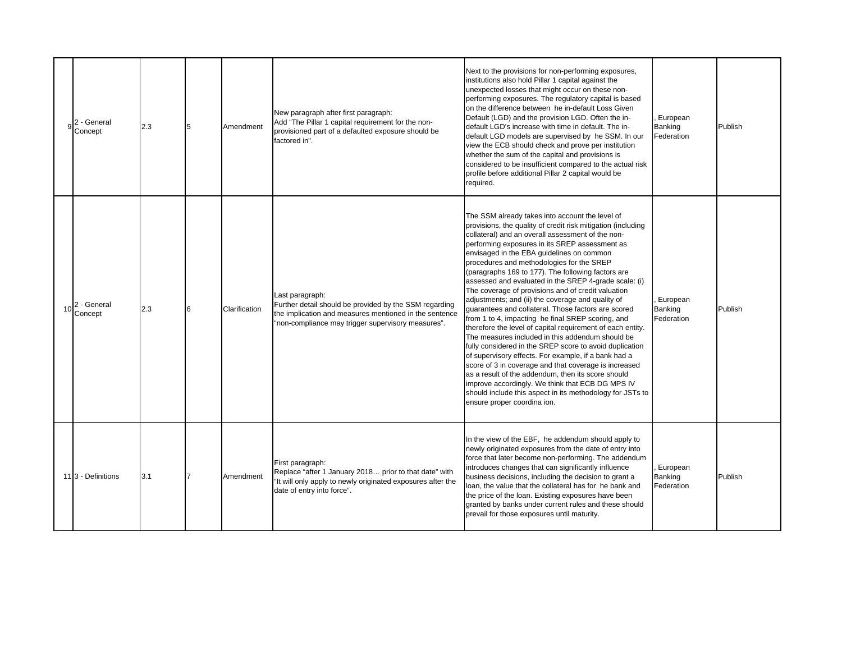|    | 2 - General<br>Concept        | 2.3 | 5 | Amendment     | New paragraph after first paragraph:<br>Add "The Pillar 1 capital requirement for the non-<br>provisioned part of a defaulted exposure should be<br>factored in".                         | Next to the provisions for non-performing exposures,<br>institutions also hold Pillar 1 capital against the<br>unexpected losses that might occur on these non-<br>performing exposures. The regulatory capital is based<br>on the difference between he in-default Loss Given<br>Default (LGD) and the provision LGD. Often the in-<br>default LGD's increase with time in default. The in-<br>default LGD models are supervised by he SSM. In our<br>view the ECB should check and prove per institution<br>whether the sum of the capital and provisions is<br>considered to be insufficient compared to the actual risk<br>profile before additional Pillar 2 capital would be<br>required.                                                                                                                                                                                                                                                                                                                                                                                                                                                            | European<br>Banking<br>Federation | Publish |
|----|-------------------------------|-----|---|---------------|-------------------------------------------------------------------------------------------------------------------------------------------------------------------------------------------|------------------------------------------------------------------------------------------------------------------------------------------------------------------------------------------------------------------------------------------------------------------------------------------------------------------------------------------------------------------------------------------------------------------------------------------------------------------------------------------------------------------------------------------------------------------------------------------------------------------------------------------------------------------------------------------------------------------------------------------------------------------------------------------------------------------------------------------------------------------------------------------------------------------------------------------------------------------------------------------------------------------------------------------------------------------------------------------------------------------------------------------------------------|-----------------------------------|---------|
| 10 | 2 - General<br>Concept        | 2.3 | 6 | Clarification | Last paragraph:<br>Further detail should be provided by the SSM regarding<br>the implication and measures mentioned in the sentence<br>"non-compliance may trigger supervisory measures". | The SSM already takes into account the level of<br>provisions, the quality of credit risk mitigation (including<br>collateral) and an overall assessment of the non-<br>performing exposures in its SREP assessment as<br>envisaged in the EBA guidelines on common<br>procedures and methodologies for the SREP<br>(paragraphs 169 to 177). The following factors are<br>assessed and evaluated in the SREP 4-grade scale: (i)<br>The coverage of provisions and of credit valuation<br>adjustments; and (ii) the coverage and quality of<br>guarantees and collateral. Those factors are scored<br>from 1 to 4, impacting he final SREP scoring, and<br>therefore the level of capital requirement of each entity.<br>The measures included in this addendum should be<br>fully considered in the SREP score to avoid duplication<br>of supervisory effects. For example, if a bank had a<br>score of 3 in coverage and that coverage is increased<br>as a result of the addendum, then its score should<br>improve accordingly. We think that ECB DG MPS IV<br>should include this aspect in its methodology for JSTs to<br>ensure proper coordina ion. | European<br>Banking<br>Federation | Publish |
|    | 11 <sub>3</sub> - Definitions | 3.1 |   | Amendment     | First paragraph:<br>Replace "after 1 January 2018 prior to that date" with<br>"It will only apply to newly originated exposures after the<br>date of entry into force".                   | In the view of the EBF, he addendum should apply to<br>newly originated exposures from the date of entry into<br>force that later become non-performing. The addendum<br>introduces changes that can significantly influence<br>business decisions, including the decision to grant a<br>loan, the value that the collateral has for he bank and<br>the price of the loan. Existing exposures have been<br>granted by banks under current rules and these should<br>prevail for those exposures until maturity.                                                                                                                                                                                                                                                                                                                                                                                                                                                                                                                                                                                                                                            | European<br>Banking<br>Federation | Publish |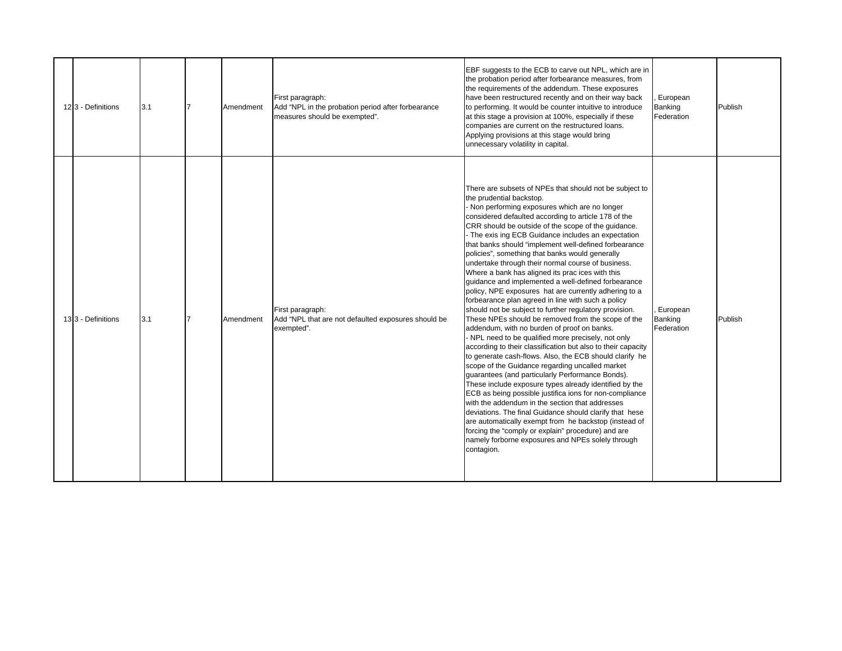|  | 123 - Definitions | 3.1 | Amendment | First paragraph:<br>Add "NPL in the probation period after forbearance<br>measures should be exempted". | EBF suggests to the ECB to carve out NPL, which are in<br>the probation period after forbearance measures, from<br>the requirements of the addendum. These exposures<br>have been restructured recently and on their way back<br>to performing. It would be counter intuitive to introduce<br>at this stage a provision at 100%, especially if these<br>companies are current on the restructured loans.<br>Applying provisions at this stage would bring<br>unnecessary volatility in capital.                                                                                                                                                                                                                                                                                                                                                                                                                                                                                                                                                                                                                                                                                                                                                                                                                                                                                                                                                                                                                                                                                  | European<br>Banking<br>Federation | Publish |
|--|-------------------|-----|-----------|---------------------------------------------------------------------------------------------------------|----------------------------------------------------------------------------------------------------------------------------------------------------------------------------------------------------------------------------------------------------------------------------------------------------------------------------------------------------------------------------------------------------------------------------------------------------------------------------------------------------------------------------------------------------------------------------------------------------------------------------------------------------------------------------------------------------------------------------------------------------------------------------------------------------------------------------------------------------------------------------------------------------------------------------------------------------------------------------------------------------------------------------------------------------------------------------------------------------------------------------------------------------------------------------------------------------------------------------------------------------------------------------------------------------------------------------------------------------------------------------------------------------------------------------------------------------------------------------------------------------------------------------------------------------------------------------------|-----------------------------------|---------|
|  | 133 - Definitions | 3.1 | Amendment | First paragraph:<br>Add "NPL that are not defaulted exposures should be<br>exempted".                   | There are subsets of NPEs that should not be subject to<br>the prudential backstop.<br>Non performing exposures which are no longer<br>considered defaulted according to article 178 of the<br>CRR should be outside of the scope of the quidance.<br>- The exis ing ECB Guidance includes an expectation<br>that banks should "implement well-defined forbearance<br>policies", something that banks would generally<br>undertake through their normal course of business.<br>Where a bank has aligned its prac ices with this<br>guidance and implemented a well-defined forbearance<br>policy, NPE exposures hat are currently adhering to a<br>forbearance plan agreed in line with such a policy<br>should not be subject to further regulatory provision.<br>These NPEs should be removed from the scope of the<br>addendum, with no burden of proof on banks.<br>NPL need to be qualified more precisely, not only<br>according to their classification but also to their capacity<br>to generate cash-flows. Also, the ECB should clarify he<br>scope of the Guidance regarding uncalled market<br>quarantees (and particularly Performance Bonds).<br>These include exposure types already identified by the<br>ECB as being possible justifica ions for non-compliance<br>with the addendum in the section that addresses<br>deviations. The final Guidance should clarify that hese<br>are automatically exempt from he backstop (instead of<br>forcing the "comply or explain" procedure) and are<br>namely forborne exposures and NPEs solely through<br>contagion. | European<br>Banking<br>Federation | Publish |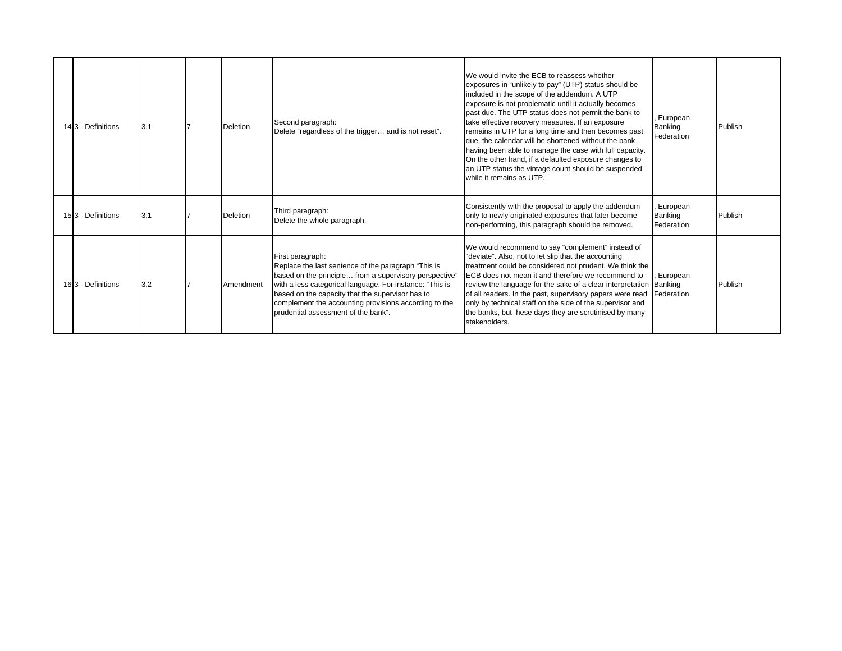| 143 - Definitions | 3.1 | Deletion  | Second paragraph:<br>Delete "regardless of the trigger and is not reset".                                                                                                                                                                                                                                                                         | We would invite the ECB to reassess whether<br>exposures in "unlikely to pay" (UTP) status should be<br>included in the scope of the addendum. A UTP<br>exposure is not problematic until it actually becomes<br>past due. The UTP status does not permit the bank to<br>take effective recovery measures. If an exposure<br>remains in UTP for a long time and then becomes past<br>due, the calendar will be shortened without the bank<br>having been able to manage the case with full capacity.<br>On the other hand, if a defaulted exposure changes to<br>an UTP status the vintage count should be suspended<br>while it remains as UTP. | European<br>Banking<br>Federation | Publish |
|-------------------|-----|-----------|---------------------------------------------------------------------------------------------------------------------------------------------------------------------------------------------------------------------------------------------------------------------------------------------------------------------------------------------------|--------------------------------------------------------------------------------------------------------------------------------------------------------------------------------------------------------------------------------------------------------------------------------------------------------------------------------------------------------------------------------------------------------------------------------------------------------------------------------------------------------------------------------------------------------------------------------------------------------------------------------------------------|-----------------------------------|---------|
| 153 - Definitions | 3.1 | Deletion  | Third paragraph:<br>Delete the whole paragraph.                                                                                                                                                                                                                                                                                                   | Consistently with the proposal to apply the addendum<br>only to newly originated exposures that later become<br>non-performing, this paragraph should be removed.                                                                                                                                                                                                                                                                                                                                                                                                                                                                                | European<br>Banking<br>Federation | Publish |
| 163 - Definitions | 3.2 | Amendment | First paragraph:<br>Replace the last sentence of the paragraph "This is<br>based on the principle from a supervisory perspective"<br>with a less categorical language. For instance: "This is<br>based on the capacity that the supervisor has to<br>complement the accounting provisions according to the<br>prudential assessment of the bank". | We would recommend to say "complement" instead of<br>"deviate". Also, not to let slip that the accounting<br>treatment could be considered not prudent. We think the<br>ECB does not mean it and therefore we recommend to<br>review the language for the sake of a clear interpretation Banking<br>of all readers. In the past, supervisory papers were read<br>only by technical staff on the side of the supervisor and<br>the banks, but hese days they are scrutinised by many<br>stakeholders.                                                                                                                                             | European<br>Federation            | Publish |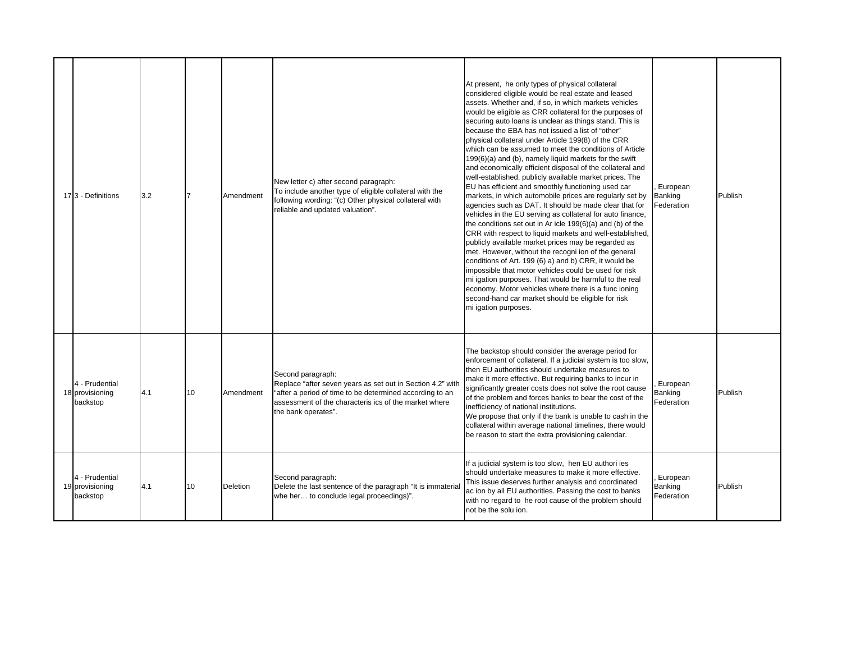| 173 - Definitions                             | 3.2 |    | Amendment | New letter c) after second paragraph:<br>To include another type of eligible collateral with the<br>following wording: "(c) Other physical collateral with<br>reliable and updated valuation".                              | At present, he only types of physical collateral<br>considered eligible would be real estate and leased<br>assets. Whether and, if so, in which markets vehicles<br>would be eligible as CRR collateral for the purposes of<br>securing auto loans is unclear as things stand. This is<br>because the EBA has not issued a list of "other"<br>physical collateral under Article 199(8) of the CRR<br>which can be assumed to meet the conditions of Article<br>199(6)(a) and (b), namely liquid markets for the swift<br>and economically efficient disposal of the collateral and<br>well-established, publicly available market prices. The<br>EU has efficient and smoothly functioning used car<br>markets, in which automobile prices are regularly set by<br>agencies such as DAT. It should be made clear that for<br>vehicles in the EU serving as collateral for auto finance,<br>the conditions set out in Ar icle 199(6)(a) and (b) of the<br>CRR with respect to liquid markets and well-established,<br>publicly available market prices may be regarded as<br>met. However, without the recogni ion of the general<br>conditions of Art. 199 (6) a) and b) CRR, it would be<br>impossible that motor vehicles could be used for risk<br>mi igation purposes. That would be harmful to the real<br>economy. Motor vehicles where there is a func ioning<br>second-hand car market should be eligible for risk<br>mi igation purposes. | European<br>Banking<br>Federation | Publish |
|-----------------------------------------------|-----|----|-----------|-----------------------------------------------------------------------------------------------------------------------------------------------------------------------------------------------------------------------------|----------------------------------------------------------------------------------------------------------------------------------------------------------------------------------------------------------------------------------------------------------------------------------------------------------------------------------------------------------------------------------------------------------------------------------------------------------------------------------------------------------------------------------------------------------------------------------------------------------------------------------------------------------------------------------------------------------------------------------------------------------------------------------------------------------------------------------------------------------------------------------------------------------------------------------------------------------------------------------------------------------------------------------------------------------------------------------------------------------------------------------------------------------------------------------------------------------------------------------------------------------------------------------------------------------------------------------------------------------------------------------------------------------------------------------------------------|-----------------------------------|---------|
| 4 - Prudential<br>18 provisioning<br>backstop | 4.1 | 10 | Amendment | Second paragraph:<br>Replace "after seven years as set out in Section 4.2" with<br>"after a period of time to be determined according to an<br>assessment of the characteris ics of the market where<br>the bank operates". | The backstop should consider the average period for<br>enforcement of collateral. If a judicial system is too slow,<br>then EU authorities should undertake measures to<br>make it more effective. But requiring banks to incur in<br>significantly greater costs does not solve the root cause<br>of the problem and forces banks to bear the cost of the<br>inefficiency of national institutions.<br>We propose that only if the bank is unable to cash in the<br>collateral within average national timelines, there would<br>be reason to start the extra provisioning calendar.                                                                                                                                                                                                                                                                                                                                                                                                                                                                                                                                                                                                                                                                                                                                                                                                                                                              | European<br>Banking<br>Federation | Publish |
| 4 - Prudential<br>19 provisioning<br>backstop | 4.1 | 10 | Deletion  | Second paragraph:<br>Delete the last sentence of the paragraph "It is immaterial<br>whe her to conclude legal proceedings)".                                                                                                | If a judicial system is too slow, hen EU authori ies<br>should undertake measures to make it more effective.<br>This issue deserves further analysis and coordinated<br>ac ion by all EU authorities. Passing the cost to banks<br>with no regard to he root cause of the problem should<br>not be the solu ion.                                                                                                                                                                                                                                                                                                                                                                                                                                                                                                                                                                                                                                                                                                                                                                                                                                                                                                                                                                                                                                                                                                                                   | European<br>Banking<br>Federation | Publish |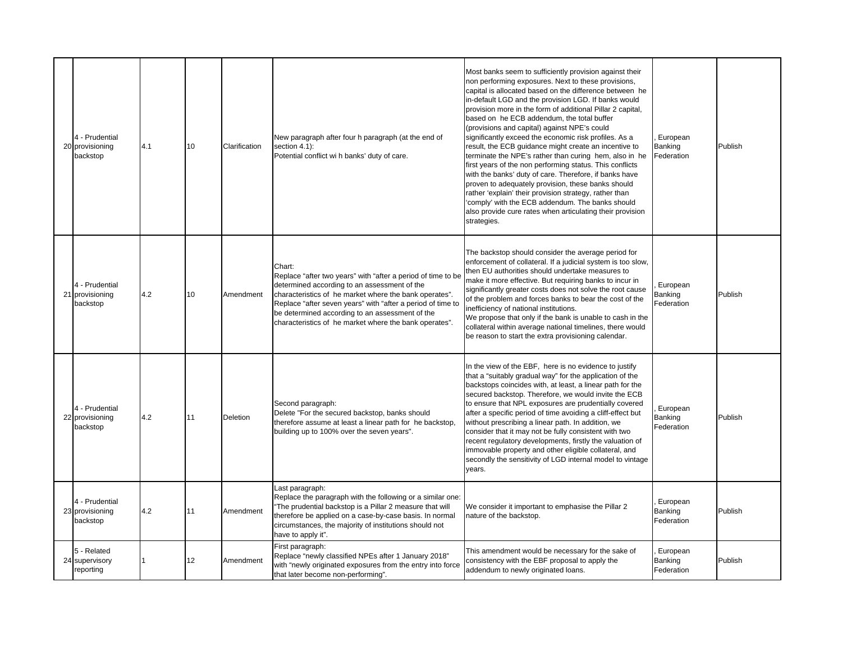| 4 - Prudential<br>20 provisioning<br>backstop | 4.1 | 10 | Clarification | New paragraph after four h paragraph (at the end of<br>section 4.1):<br>Potential conflict wi h banks' duty of care.                                                                                                                                                                                                                                         | Most banks seem to sufficiently provision against their<br>non performing exposures. Next to these provisions,<br>capital is allocated based on the difference between he<br>in-default LGD and the provision LGD. If banks would<br>provision more in the form of additional Pillar 2 capital,<br>based on he ECB addendum, the total buffer<br>(provisions and capital) against NPE's could<br>significantly exceed the economic risk profiles. As a<br>result, the ECB guidance might create an incentive to<br>terminate the NPE's rather than curing hem, also in he<br>first years of the non performing status. This conflicts<br>with the banks' duty of care. Therefore, if banks have<br>proven to adequately provision, these banks should<br>rather 'explain' their provision strategy, rather than<br>'comply' with the ECB addendum. The banks should<br>also provide cure rates when articulating their provision<br>strategies. | European<br>Banking<br>Federation | Publish |
|-----------------------------------------------|-----|----|---------------|--------------------------------------------------------------------------------------------------------------------------------------------------------------------------------------------------------------------------------------------------------------------------------------------------------------------------------------------------------------|-------------------------------------------------------------------------------------------------------------------------------------------------------------------------------------------------------------------------------------------------------------------------------------------------------------------------------------------------------------------------------------------------------------------------------------------------------------------------------------------------------------------------------------------------------------------------------------------------------------------------------------------------------------------------------------------------------------------------------------------------------------------------------------------------------------------------------------------------------------------------------------------------------------------------------------------------|-----------------------------------|---------|
| 4 - Prudential<br>21 provisioning<br>backstop | 4.2 | 10 | Amendment     | Chart:<br>Replace "after two years" with "after a period of time to be<br>determined according to an assessment of the<br>characteristics of he market where the bank operates".<br>Replace "after seven years" with "after a period of time to<br>be determined according to an assessment of the<br>characteristics of he market where the bank operates". | The backstop should consider the average period for<br>enforcement of collateral. If a judicial system is too slow,<br>then EU authorities should undertake measures to<br>make it more effective. But requiring banks to incur in<br>significantly greater costs does not solve the root cause<br>of the problem and forces banks to bear the cost of the<br>inefficiency of national institutions.<br>We propose that only if the bank is unable to cash in the<br>collateral within average national timelines, there would<br>be reason to start the extra provisioning calendar.                                                                                                                                                                                                                                                                                                                                                           | European<br>Banking<br>Federation | Publish |
| 4 - Prudential<br>22 provisioning<br>backstop | 4.2 | 11 | Deletion      | Second paragraph:<br>Delete "For the secured backstop, banks should<br>therefore assume at least a linear path for he backstop,<br>building up to 100% over the seven years".                                                                                                                                                                                | In the view of the EBF, here is no evidence to justify<br>that a "suitably gradual way" for the application of the<br>backstops coincides with, at least, a linear path for the<br>secured backstop. Therefore, we would invite the ECB<br>to ensure that NPL exposures are prudentially covered<br>after a specific period of time avoiding a cliff-effect but<br>without prescribing a linear path. In addition, we<br>consider that it may not be fully consistent with two<br>recent regulatory developments, firstly the valuation of<br>immovable property and other eligible collateral, and<br>secondly the sensitivity of LGD internal model to vintage<br>years.                                                                                                                                                                                                                                                                      | European<br>Banking<br>Federation | Publish |
| 4 - Prudential<br>23 provisioning<br>backstop | 4.2 | 11 | Amendment     | Last paragraph:<br>Replace the paragraph with the following or a similar one:<br>'The prudential backstop is a Pillar 2 measure that will<br>therefore be applied on a case-by-case basis. In normal<br>circumstances, the majority of institutions should not<br>have to apply it".                                                                         | We consider it important to emphasise the Pillar 2<br>nature of the backstop.                                                                                                                                                                                                                                                                                                                                                                                                                                                                                                                                                                                                                                                                                                                                                                                                                                                                   | European<br>Banking<br>Federation | Publish |
| 5 - Related<br>24 supervisory<br>reporting    |     | 12 | Amendment     | First paragraph:<br>Replace "newly classified NPEs after 1 January 2018"<br>with "newly originated exposures from the entry into force<br>that later become non-performing".                                                                                                                                                                                 | This amendment would be necessary for the sake of<br>consistency with the EBF proposal to apply the<br>addendum to newly originated loans.                                                                                                                                                                                                                                                                                                                                                                                                                                                                                                                                                                                                                                                                                                                                                                                                      | European<br>Banking<br>Federation | Publish |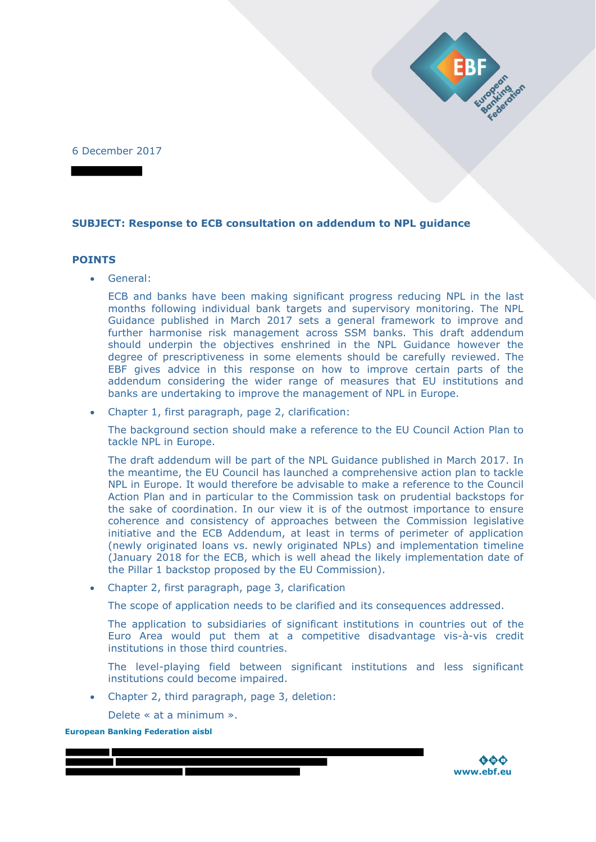6 December 2017

## **SUBJECT: Response to ECB consultation on addendum to NPL guidance**

### **POINTS**

General:

ECB and banks have been making significant progress reducing NPL in the last months following individual bank targets and supervisory monitoring. The NPL Guidance published in March 2017 sets a general framework to improve and further harmonise risk management across SSM banks. This draft addendum should underpin the objectives enshrined in the NPL Guidance however the degree of prescriptiveness in some elements should be carefully reviewed. The EBF gives advice in this response on how to improve certain parts of the addendum considering the wider range of measures that EU institutions and banks are undertaking to improve the management of NPL in Europe.

Chapter 1, first paragraph, page 2, clarification:

The background section should make a reference to the EU Council Action Plan to tackle NPL in Europe.

The draft addendum will be part of the NPL Guidance published in March 2017. In the meantime, the EU Council has launched a comprehensive action plan to tackle NPL in Europe. It would therefore be advisable to make a reference to the Council Action Plan and in particular to the Commission task on prudential backstops for the sake of coordination. In our view it is of the outmost importance to ensure coherence and consistency of approaches between the Commission legislative initiative and the ECB Addendum, at least in terms of perimeter of application (newly originated loans vs. newly originated NPLs) and implementation timeline (January 2018 for the ECB, which is well ahead the likely implementation date of the Pillar 1 backstop proposed by the EU Commission).

Chapter 2, first paragraph, page 3, clarification

The scope of application needs to be clarified and its consequences addressed.

The application to subsidiaries of significant institutions in countries out of the Euro Area would put them at a competitive disadvantage vis-à-vis credit institutions in those third countries.

The level-playing field between significant institutions and less significant institutions could become impaired.

• Chapter 2, third paragraph, page 3, deletion:

Delete « at a minimum ».

**European Banking Federation aisbl**



Manufaction of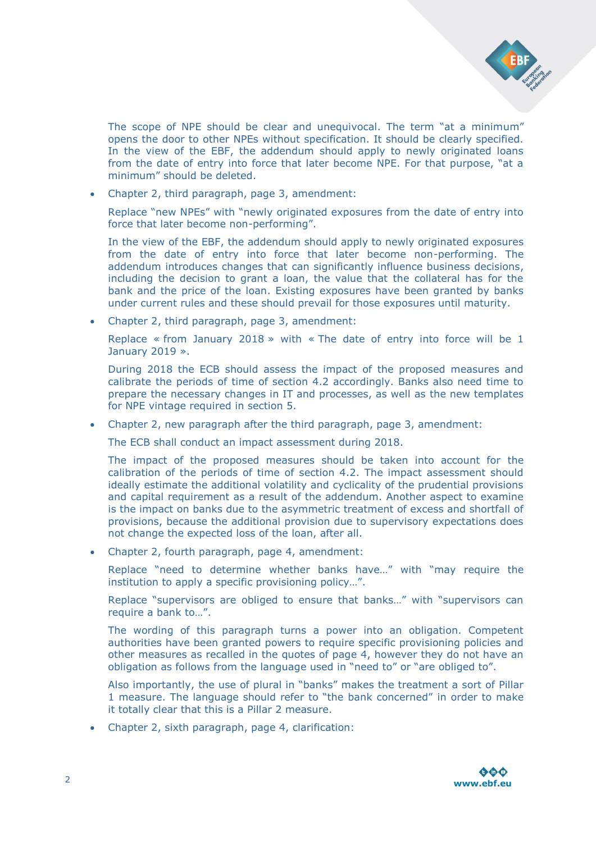

The scope of NPE should be clear and unequivocal. The term "at a minimum" opens the door to other NPEs without specification. It should be clearly specified. In the view of the EBF, the addendum should apply to newly originated loans from the date of entry into force that later become NPE. For that purpose, "at a minimum" should be deleted.

Chapter 2, third paragraph, page 3, amendment:

Replace "new NPEs" with "newly originated exposures from the date of entry into force that later become non-performing".

In the view of the EBF, the addendum should apply to newly originated exposures from the date of entry into force that later become non-performing. The addendum introduces changes that can significantly influence business decisions, including the decision to grant a loan, the value that the collateral has for the bank and the price of the loan. Existing exposures have been granted by banks under current rules and these should prevail for those exposures until maturity.

Chapter 2, third paragraph, page 3, amendment:

Replace « from January 2018 » with « The date of entry into force will be 1 January 2019 ».

During 2018 the ECB should assess the impact of the proposed measures and calibrate the periods of time of section 4.2 accordingly. Banks also need time to prepare the necessary changes in IT and processes, as well as the new templates for NPE vintage required in section 5.

Chapter 2, new paragraph after the third paragraph, page 3, amendment:

The ECB shall conduct an impact assessment during 2018.

The impact of the proposed measures should be taken into account for the calibration of the periods of time of section 4.2. The impact assessment should ideally estimate the additional volatility and cyclicality of the prudential provisions and capital requirement as a result of the addendum. Another aspect to examine is the impact on banks due to the asymmetric treatment of excess and shortfall of provisions, because the additional provision due to supervisory expectations does not change the expected loss of the loan, after all.

Chapter 2, fourth paragraph, page 4, amendment:

Replace "need to determine whether banks have…" with "may require the institution to apply a specific provisioning policy…".

Replace "supervisors are obliged to ensure that banks…" with "supervisors can require a bank to…".

The wording of this paragraph turns a power into an obligation. Competent authorities have been granted powers to require specific provisioning policies and other measures as recalled in the quotes of page 4, however they do not have an obligation as follows from the language used in "need to" or "are obliged to".

Also importantly, the use of plural in "banks" makes the treatment a sort of Pillar 1 measure. The language should refer to "the bank concerned" in order to make it totally clear that this is a Pillar 2 measure.

Chapter 2, sixth paragraph, page 4, clarification:

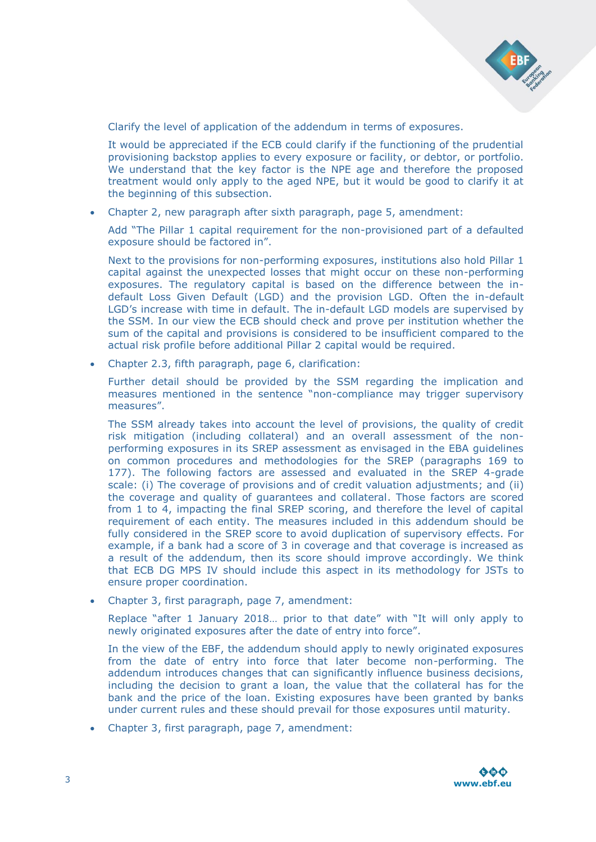

Clarify the level of application of the addendum in terms of exposures.

It would be appreciated if the ECB could clarify if the functioning of the prudential provisioning backstop applies to every exposure or facility, or debtor, or portfolio. We understand that the key factor is the NPE age and therefore the proposed treatment would only apply to the aged NPE, but it would be good to clarify it at the beginning of this subsection.

Chapter 2, new paragraph after sixth paragraph, page 5, amendment:

Add "The Pillar 1 capital requirement for the non-provisioned part of a defaulted exposure should be factored in".

Next to the provisions for non-performing exposures, institutions also hold Pillar 1 capital against the unexpected losses that might occur on these non-performing exposures. The regulatory capital is based on the difference between the indefault Loss Given Default (LGD) and the provision LGD. Often the in-default LGD's increase with time in default. The in-default LGD models are supervised by the SSM. In our view the ECB should check and prove per institution whether the sum of the capital and provisions is considered to be insufficient compared to the actual risk profile before additional Pillar 2 capital would be required.

Chapter 2.3, fifth paragraph, page 6, clarification:

Further detail should be provided by the SSM regarding the implication and measures mentioned in the sentence "non-compliance may trigger supervisory measures".

The SSM already takes into account the level of provisions, the quality of credit risk mitigation (including collateral) and an overall assessment of the nonperforming exposures in its SREP assessment as envisaged in the EBA guidelines on common procedures and methodologies for the SREP (paragraphs 169 to 177). The following factors are assessed and evaluated in the SREP 4-grade scale: (i) The coverage of provisions and of credit valuation adjustments; and (ii) the coverage and quality of guarantees and collateral. Those factors are scored from 1 to 4, impacting the final SREP scoring, and therefore the level of capital requirement of each entity. The measures included in this addendum should be fully considered in the SREP score to avoid duplication of supervisory effects. For example, if a bank had a score of 3 in coverage and that coverage is increased as a result of the addendum, then its score should improve accordingly. We think that ECB DG MPS IV should include this aspect in its methodology for JSTs to ensure proper coordination.

Chapter 3, first paragraph, page 7, amendment:

Replace "after 1 January 2018… prior to that date" with "It will only apply to newly originated exposures after the date of entry into force".

In the view of the EBF, the addendum should apply to newly originated exposures from the date of entry into force that later become non-performing. The addendum introduces changes that can significantly influence business decisions, including the decision to grant a loan, the value that the collateral has for the bank and the price of the loan. Existing exposures have been granted by banks under current rules and these should prevail for those exposures until maturity.

Chapter 3, first paragraph, page 7, amendment:

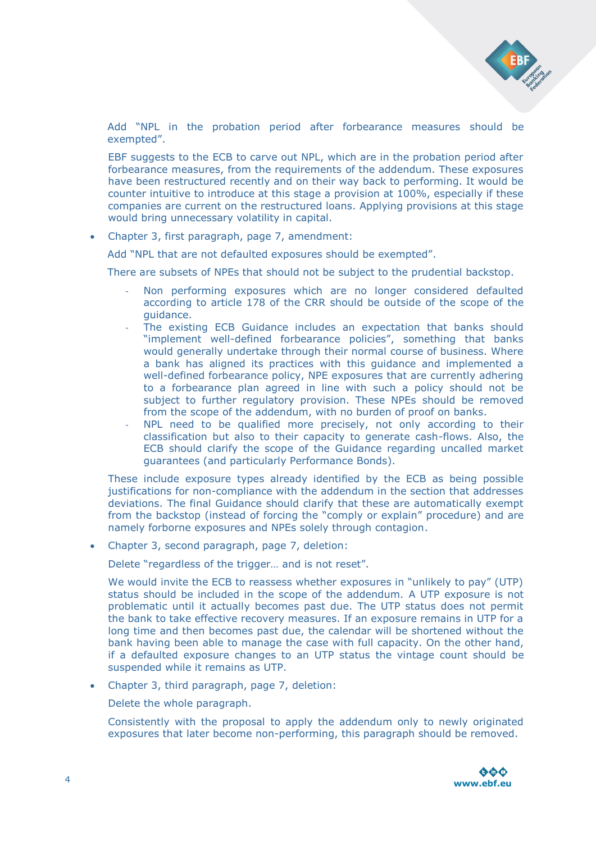

Add "NPL in the probation period after forbearance measures should be exempted".

EBF suggests to the ECB to carve out NPL, which are in the probation period after forbearance measures, from the requirements of the addendum. These exposures have been restructured recently and on their way back to performing. It would be counter intuitive to introduce at this stage a provision at 100%, especially if these companies are current on the restructured loans. Applying provisions at this stage would bring unnecessary volatility in capital.

Chapter 3, first paragraph, page 7, amendment:

Add "NPL that are not defaulted exposures should be exempted".

There are subsets of NPEs that should not be subject to the prudential backstop.

- Non performing exposures which are no longer considered defaulted according to article 178 of the CRR should be outside of the scope of the guidance.
- The existing ECB Guidance includes an expectation that banks should "implement well-defined forbearance policies", something that banks would generally undertake through their normal course of business. Where a bank has aligned its practices with this guidance and implemented a well-defined forbearance policy, NPE exposures that are currently adhering to a forbearance plan agreed in line with such a policy should not be subject to further regulatory provision. These NPEs should be removed from the scope of the addendum, with no burden of proof on banks.
- NPL need to be qualified more precisely, not only according to their classification but also to their capacity to generate cash-flows. Also, the ECB should clarify the scope of the Guidance regarding uncalled market guarantees (and particularly Performance Bonds).

These include exposure types already identified by the ECB as being possible justifications for non-compliance with the addendum in the section that addresses deviations. The final Guidance should clarify that these are automatically exempt from the backstop (instead of forcing the "comply or explain" procedure) and are namely forborne exposures and NPEs solely through contagion.

Chapter 3, second paragraph, page 7, deletion:

Delete "regardless of the trigger… and is not reset".

We would invite the ECB to reassess whether exposures in "unlikely to pay" (UTP) status should be included in the scope of the addendum. A UTP exposure is not problematic until it actually becomes past due. The UTP status does not permit the bank to take effective recovery measures. If an exposure remains in UTP for a long time and then becomes past due, the calendar will be shortened without the bank having been able to manage the case with full capacity. On the other hand, if a defaulted exposure changes to an UTP status the vintage count should be suspended while it remains as UTP.

Chapter 3, third paragraph, page 7, deletion:

Delete the whole paragraph.

Consistently with the proposal to apply the addendum only to newly originated exposures that later become non-performing, this paragraph should be removed.

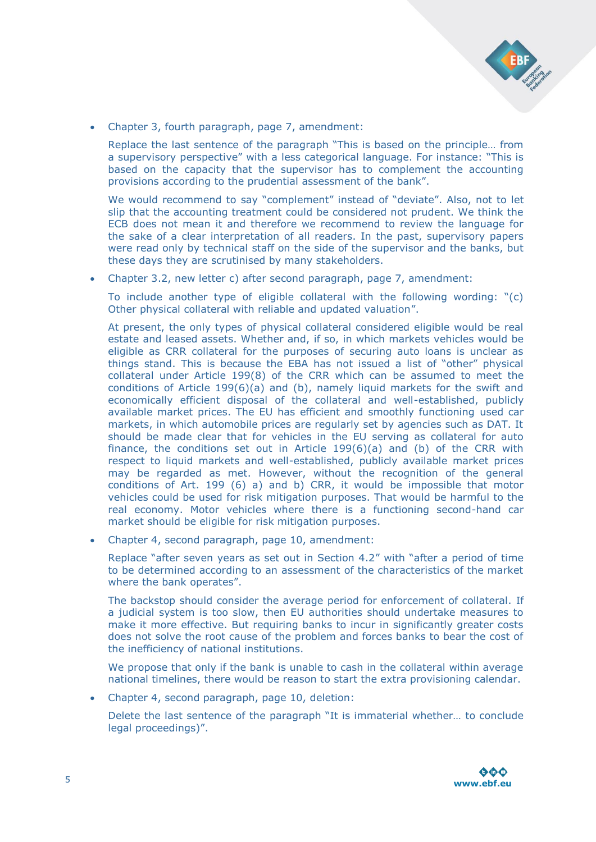

Chapter 3, fourth paragraph, page 7, amendment:

Replace the last sentence of the paragraph "This is based on the principle… from a supervisory perspective" with a less categorical language. For instance: "This is based on the capacity that the supervisor has to complement the accounting provisions according to the prudential assessment of the bank".

We would recommend to say "complement" instead of "deviate". Also, not to let slip that the accounting treatment could be considered not prudent. We think the ECB does not mean it and therefore we recommend to review the language for the sake of a clear interpretation of all readers. In the past, supervisory papers were read only by technical staff on the side of the supervisor and the banks, but these days they are scrutinised by many stakeholders.

Chapter 3.2, new letter c) after second paragraph, page 7, amendment:

To include another type of eligible collateral with the following wording: "(c) Other physical collateral with reliable and updated valuation".

At present, the only types of physical collateral considered eligible would be real estate and leased assets. Whether and, if so, in which markets vehicles would be eligible as CRR collateral for the purposes of securing auto loans is unclear as things stand. This is because the EBA has not issued a list of "other" physical collateral under Article 199(8) of the CRR which can be assumed to meet the conditions of Article 199(6)(a) and (b), namely liquid markets for the swift and economically efficient disposal of the collateral and well-established, publicly available market prices. The EU has efficient and smoothly functioning used car markets, in which automobile prices are regularly set by agencies such as DAT. It should be made clear that for vehicles in the EU serving as collateral for auto finance, the conditions set out in Article 199(6)(a) and (b) of the CRR with respect to liquid markets and well-established, publicly available market prices may be regarded as met. However, without the recognition of the general conditions of Art. 199 (6) a) and b) CRR, it would be impossible that motor vehicles could be used for risk mitigation purposes. That would be harmful to the real economy. Motor vehicles where there is a functioning second-hand car market should be eligible for risk mitigation purposes.

Chapter 4, second paragraph, page 10, amendment:

Replace "after seven years as set out in Section 4.2" with "after a period of time to be determined according to an assessment of the characteristics of the market where the bank operates".

The backstop should consider the average period for enforcement of collateral. If a judicial system is too slow, then EU authorities should undertake measures to make it more effective. But requiring banks to incur in significantly greater costs does not solve the root cause of the problem and forces banks to bear the cost of the inefficiency of national institutions.

We propose that only if the bank is unable to cash in the collateral within average national timelines, there would be reason to start the extra provisioning calendar.

Chapter 4, second paragraph, page 10, deletion:

Delete the last sentence of the paragraph "It is immaterial whether… to conclude legal proceedings)".

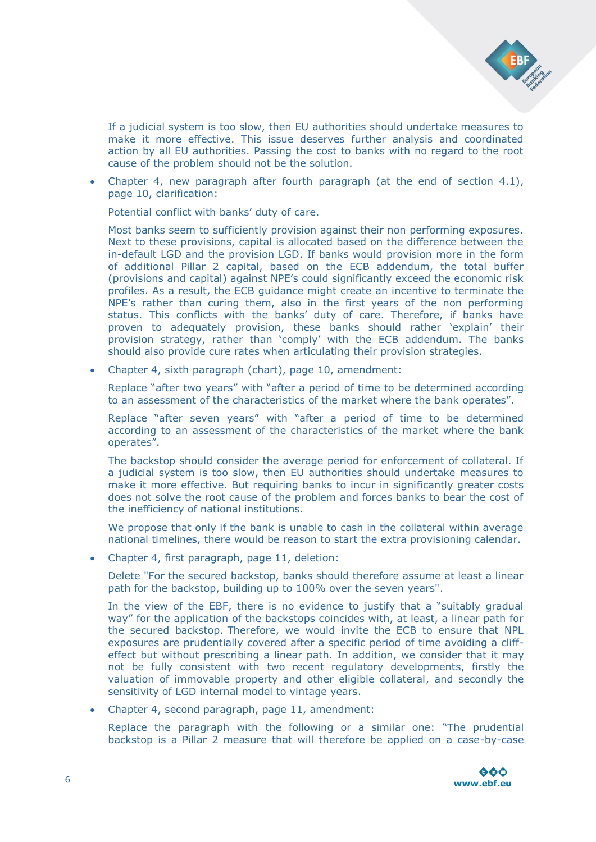

If a judicial system is too slow, then EU authorities should undertake measures to make it more effective. This issue deserves further analysis and coordinated action by all EU authorities. Passing the cost to banks with no regard to the root cause of the problem should not be the solution.

 Chapter 4, new paragraph after fourth paragraph (at the end of section 4.1), page 10, clarification:

Potential conflict with banks' duty of care.

Most banks seem to sufficiently provision against their non performing exposures. Next to these provisions, capital is allocated based on the difference between the in-default LGD and the provision LGD. If banks would provision more in the form of additional Pillar 2 capital, based on the ECB addendum, the total buffer (provisions and capital) against NPE's could significantly exceed the economic risk profiles. As a result, the ECB guidance might create an incentive to terminate the NPE's rather than curing them, also in the first years of the non performing status. This conflicts with the banks' duty of care. Therefore, if banks have proven to adequately provision, these banks should rather 'explain' their provision strategy, rather than 'comply' with the ECB addendum. The banks should also provide cure rates when articulating their provision strategies.

Chapter 4, sixth paragraph (chart), page 10, amendment:

Replace "after two years" with "after a period of time to be determined according to an assessment of the characteristics of the market where the bank operates".

Replace "after seven years" with "after a period of time to be determined according to an assessment of the characteristics of the market where the bank operates".

The backstop should consider the average period for enforcement of collateral. If a judicial system is too slow, then EU authorities should undertake measures to make it more effective. But requiring banks to incur in significantly greater costs does not solve the root cause of the problem and forces banks to bear the cost of the inefficiency of national institutions.

We propose that only if the bank is unable to cash in the collateral within average national timelines, there would be reason to start the extra provisioning calendar.

Chapter 4, first paragraph, page 11, deletion:

Delete "For the secured backstop, banks should therefore assume at least a linear path for the backstop, building up to 100% over the seven years".

In the view of the EBF, there is no evidence to justify that a "suitably gradual way" for the application of the backstops coincides with, at least, a linear path for the secured backstop. Therefore, we would invite the ECB to ensure that NPL exposures are prudentially covered after a specific period of time avoiding a cliffeffect but without prescribing a linear path. In addition, we consider that it may not be fully consistent with two recent regulatory developments, firstly the valuation of immovable property and other eligible collateral, and secondly the sensitivity of LGD internal model to vintage years.

Chapter 4, second paragraph, page 11, amendment:

Replace the paragraph with the following or a similar one: "The prudential backstop is a Pillar 2 measure that will therefore be applied on a case-by-case